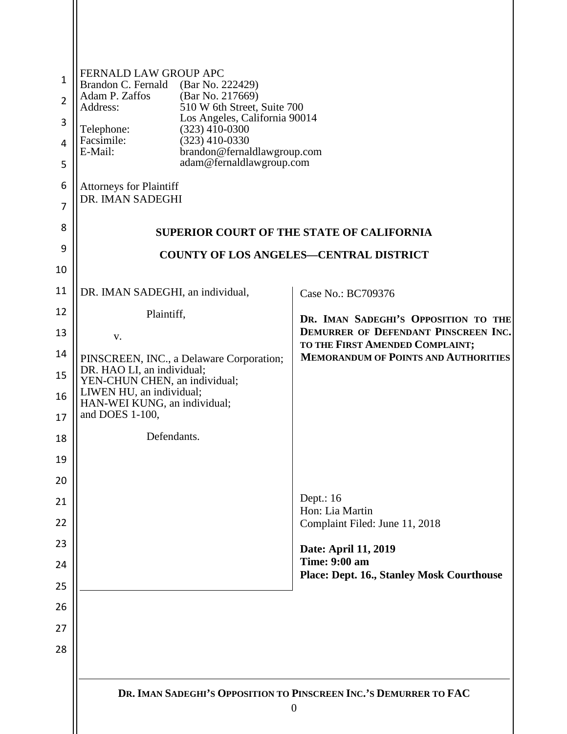| $\mathbf{1}$<br>$\overline{2}$<br>3<br>4<br>5<br>6<br>7<br>8<br>9 | FERNALD LAW GROUP APC<br>Brandon C. Fernald (Bar No. 222429)<br>Adam P. Zaffos<br>(Bar No. 217669)<br>510 W 6th Street, Suite 700<br>Address:<br>Los Angeles, California 90014<br>$(323)$ 410-0300<br>Telephone:<br>Facsimile:<br>$(323)$ 410-0330<br>E-Mail:<br>brandon@fernaldlawgroup.com<br>adam@fernaldlawgroup.com<br><b>Attorneys for Plaintiff</b><br>DR. IMAN SADEGHI | <b>SUPERIOR COURT OF THE STATE OF CALIFORNIA</b>                               |  |  |  |  |  |
|-------------------------------------------------------------------|--------------------------------------------------------------------------------------------------------------------------------------------------------------------------------------------------------------------------------------------------------------------------------------------------------------------------------------------------------------------------------|--------------------------------------------------------------------------------|--|--|--|--|--|
| 10                                                                | <b>COUNTY OF LOS ANGELES-CENTRAL DISTRICT</b>                                                                                                                                                                                                                                                                                                                                  |                                                                                |  |  |  |  |  |
| 11                                                                | DR. IMAN SADEGHI, an individual,                                                                                                                                                                                                                                                                                                                                               | Case No.: BC709376                                                             |  |  |  |  |  |
| 12                                                                | Plaintiff,                                                                                                                                                                                                                                                                                                                                                                     |                                                                                |  |  |  |  |  |
| 13                                                                | V.                                                                                                                                                                                                                                                                                                                                                                             | DR. IMAN SADEGHI'S OPPOSITION TO THE<br>DEMURRER OF DEFENDANT PINSCREEN INC.   |  |  |  |  |  |
| 14                                                                | PINSCREEN, INC., a Delaware Corporation;                                                                                                                                                                                                                                                                                                                                       | TO THE FIRST AMENDED COMPLAINT;<br><b>MEMORANDUM OF POINTS AND AUTHORITIES</b> |  |  |  |  |  |
| 15                                                                | DR. HAO LI, an individual;<br>YEN-CHUN CHEN, an individual;                                                                                                                                                                                                                                                                                                                    |                                                                                |  |  |  |  |  |
| 16<br>17                                                          | LIWEN HU, an individual;<br>HAN-WEI KUNG, an individual;<br>and DOES 1-100,                                                                                                                                                                                                                                                                                                    |                                                                                |  |  |  |  |  |
| 18                                                                | Defendants.                                                                                                                                                                                                                                                                                                                                                                    |                                                                                |  |  |  |  |  |
| 19                                                                |                                                                                                                                                                                                                                                                                                                                                                                |                                                                                |  |  |  |  |  |
| 20                                                                |                                                                                                                                                                                                                                                                                                                                                                                |                                                                                |  |  |  |  |  |
| 21                                                                |                                                                                                                                                                                                                                                                                                                                                                                | Dept.: 16<br>Hon: Lia Martin                                                   |  |  |  |  |  |
| 22                                                                |                                                                                                                                                                                                                                                                                                                                                                                | Complaint Filed: June 11, 2018                                                 |  |  |  |  |  |
| 23                                                                |                                                                                                                                                                                                                                                                                                                                                                                | Date: April 11, 2019                                                           |  |  |  |  |  |
| 24                                                                |                                                                                                                                                                                                                                                                                                                                                                                | <b>Time: 9:00 am</b><br><b>Place: Dept. 16., Stanley Mosk Courthouse</b>       |  |  |  |  |  |
| 25                                                                |                                                                                                                                                                                                                                                                                                                                                                                |                                                                                |  |  |  |  |  |
| 26                                                                |                                                                                                                                                                                                                                                                                                                                                                                |                                                                                |  |  |  |  |  |
| 27                                                                |                                                                                                                                                                                                                                                                                                                                                                                |                                                                                |  |  |  |  |  |
| 28                                                                |                                                                                                                                                                                                                                                                                                                                                                                |                                                                                |  |  |  |  |  |
|                                                                   |                                                                                                                                                                                                                                                                                                                                                                                | DR. IMAN SADEGHI'S OPPOSITION TO PINSCREEN INC.'S DEMURRER TO FAC<br>$\theta$  |  |  |  |  |  |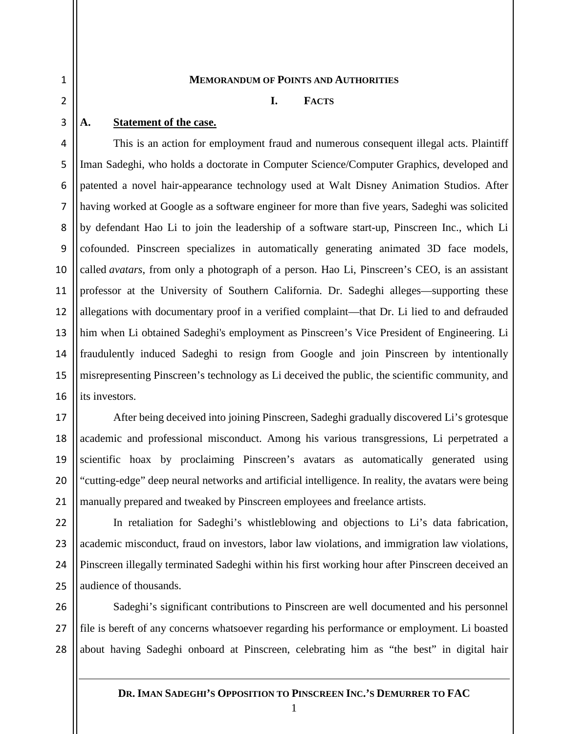2

3

17

18

19

20

21

1

#### **MEMORANDUM OF POINTS AND AUTHORITIES**

#### **I. FACTS**

#### **A. Statement of the case.**

4 5 6 7 8 9 10 11 12 13 14 15 16 This is an action for employment fraud and numerous consequent illegal acts. Plaintiff Iman Sadeghi, who holds a doctorate in Computer Science/Computer Graphics, developed and patented a novel hair-appearance technology used at Walt Disney Animation Studios. After having worked at Google as a software engineer for more than five years, Sadeghi was solicited by defendant Hao Li to join the leadership of a software start-up, Pinscreen Inc., which Li cofounded. Pinscreen specializes in automatically generating animated 3D face models, called *avatars*, from only a photograph of a person. Hao Li, Pinscreen's CEO, is an assistant professor at the University of Southern California. Dr. Sadeghi alleges—supporting these allegations with documentary proof in a verified complaint—that Dr. Li lied to and defrauded him when Li obtained Sadeghi's employment as Pinscreen's Vice President of Engineering. Li fraudulently induced Sadeghi to resign from Google and join Pinscreen by intentionally misrepresenting Pinscreen's technology as Li deceived the public, the scientific community, and its investors.

After being deceived into joining Pinscreen, Sadeghi gradually discovered Li's grotesque academic and professional misconduct. Among his various transgressions, Li perpetrated a scientific hoax by proclaiming Pinscreen's avatars as automatically generated using "cutting-edge" deep neural networks and artificial intelligence. In reality, the avatars were being manually prepared and tweaked by Pinscreen employees and freelance artists.

 $22$ 23 24 25 In retaliation for Sadeghi's whistleblowing and objections to Li's data fabrication, academic misconduct, fraud on investors, labor law violations, and immigration law violations, Pinscreen illegally terminated Sadeghi within his first working hour after Pinscreen deceived an audience of thousands.

26 27 28 Sadeghi's significant contributions to Pinscreen are well documented and his personnel file is bereft of any concerns whatsoever regarding his performance or employment. Li boasted about having Sadeghi onboard at Pinscreen, celebrating him as "the best" in digital hair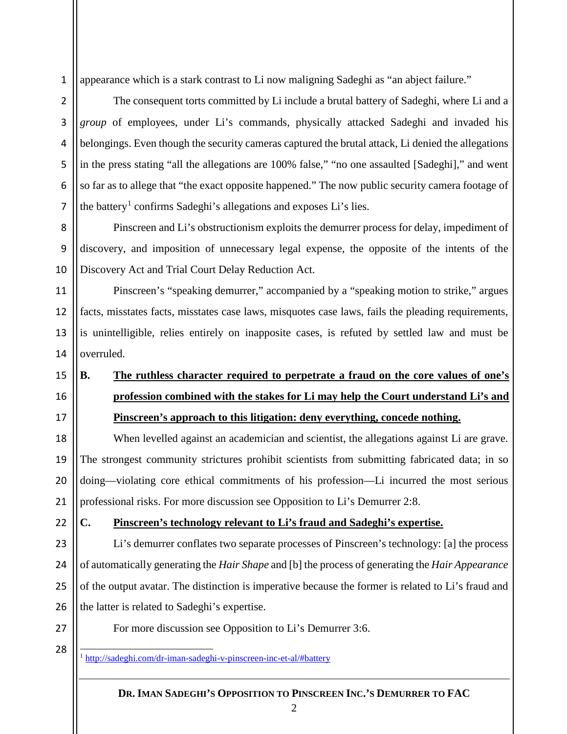1 appearance which is a stark contrast to Li now maligning Sadeghi as "an abject failure."

2 3 4 7 The consequent torts committed by Li include a brutal battery of Sadeghi, where Li and a *group* of employees, under Li's commands, physically attacked Sadeghi and invaded his belongings. Even though the security cameras captured the brutal attack, Li denied the allegations in the press stating "all the allegations are 100% false," "no one assaulted [Sadeghi]," and went so far as to allege that "the exact opposite happened." The now public security camera footage of the battery<sup>[1](#page-2-0)</sup> confirms Sadeghi's allegations and exposes Li's lies.

8 9 10 Pinscreen and Li's obstructionism exploits the demurrer process for delay, impediment of discovery, and imposition of unnecessary legal expense, the opposite of the intents of the Discovery Act and Trial Court Delay Reduction Act.

Pinscreen's "speaking demurrer," accompanied by a "speaking motion to strike," argues facts, misstates facts, misstates case laws, misquotes case laws, fails the pleading requirements, is unintelligible, relies entirely on inapposite cases, is refuted by settled law and must be overruled.

## **B. The ruthless character required to perpetrate a fraud on the core values of one's profession combined with the stakes for Li may help the Court understand Li's and Pinscreen's approach to this litigation: deny everything, concede nothing.**

When levelled against an academician and scientist, the allegations against Li are grave. The strongest community strictures prohibit scientists from submitting fabricated data; in so doing—violating core ethical commitments of his profession—Li incurred the most serious professional risks. For more discussion see Opposition to Li's Demurrer 2:8.

 $22$ 

5

6

11

12

13

14

15

16

17

18

19

20

21

#### **C. Pinscreen's technology relevant to Li's fraud and Sadeghi's expertise.**

23 24 25 26 Li's demurrer conflates two separate processes of Pinscreen's technology: [a] the process of automatically generating the *Hair Shape* and [b] the process of generating the *Hair Appearance*  of the output avatar. The distinction is imperative because the former is related to Li's fraud and the latter is related to Sadeghi's expertise.

<span id="page-2-0"></span>27 28 For more discussion see Opposition to Li's Demurrer 3:6.

1 <http://sadeghi.com/dr-iman-sadeghi-v-pinscreen-inc-et-al/#battery>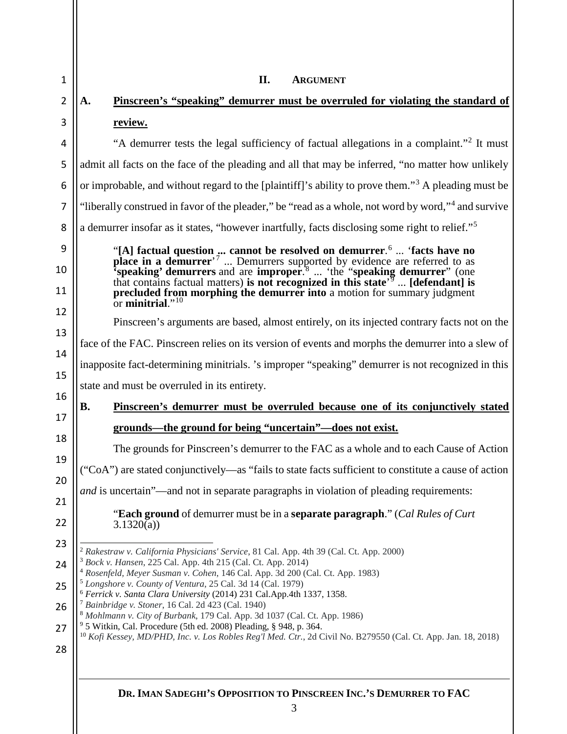<span id="page-3-8"></span><span id="page-3-7"></span><span id="page-3-6"></span><span id="page-3-5"></span><span id="page-3-4"></span><span id="page-3-3"></span><span id="page-3-2"></span><span id="page-3-1"></span><span id="page-3-0"></span>

| A.                                                                                                                  | Pinscreen's "speaking" demurrer must be overruled for violating the standard of                                                                                                                                                                                                                                                                                                                                                                                                                                                                                                                                                                                         |  |  |  |  |  |  |  |
|---------------------------------------------------------------------------------------------------------------------|-------------------------------------------------------------------------------------------------------------------------------------------------------------------------------------------------------------------------------------------------------------------------------------------------------------------------------------------------------------------------------------------------------------------------------------------------------------------------------------------------------------------------------------------------------------------------------------------------------------------------------------------------------------------------|--|--|--|--|--|--|--|
|                                                                                                                     | review.                                                                                                                                                                                                                                                                                                                                                                                                                                                                                                                                                                                                                                                                 |  |  |  |  |  |  |  |
|                                                                                                                     | "A demurrer tests the legal sufficiency of factual allegations in a complaint." <sup>2</sup> It must                                                                                                                                                                                                                                                                                                                                                                                                                                                                                                                                                                    |  |  |  |  |  |  |  |
|                                                                                                                     | admit all facts on the face of the pleading and all that may be inferred, "no matter how unlikely                                                                                                                                                                                                                                                                                                                                                                                                                                                                                                                                                                       |  |  |  |  |  |  |  |
| or improbable, and without regard to the [plaintiff]'s ability to prove them." <sup>3</sup> A pleading must be<br>6 |                                                                                                                                                                                                                                                                                                                                                                                                                                                                                                                                                                                                                                                                         |  |  |  |  |  |  |  |
|                                                                                                                     | "liberally construed in favor of the pleader," be "read as a whole, not word by word," <sup>4</sup> and survive                                                                                                                                                                                                                                                                                                                                                                                                                                                                                                                                                         |  |  |  |  |  |  |  |
|                                                                                                                     | a demurrer insofar as it states, "however inartfully, facts disclosing some right to relief." <sup>5</sup>                                                                                                                                                                                                                                                                                                                                                                                                                                                                                                                                                              |  |  |  |  |  |  |  |
|                                                                                                                     | "[A] factual question  cannot be resolved on demurrer. <sup>6</sup> 'facts have no place in a demurrer' <sup>7</sup> Demurrers supported by evidence are referred to as 'speaking' demurrers and are improper. <sup>8</sup> 'the "speaking d<br>that contains factual matters) is not recognized in this state <sup><math>\sqrt{9}</math></sup> [defendant] is<br>precluded from morphing the demurrer into a motion for summary judgment<br>or minitrial. $^{10}$                                                                                                                                                                                                      |  |  |  |  |  |  |  |
|                                                                                                                     | Pinscreen's arguments are based, almost entirely, on its injected contrary facts not on the                                                                                                                                                                                                                                                                                                                                                                                                                                                                                                                                                                             |  |  |  |  |  |  |  |
|                                                                                                                     | face of the FAC. Pinscreen relies on its version of events and morphs the demurrer into a slew of                                                                                                                                                                                                                                                                                                                                                                                                                                                                                                                                                                       |  |  |  |  |  |  |  |
|                                                                                                                     | inapposite fact-determining minitrials. 's improper "speaking" demurrer is not recognized in this                                                                                                                                                                                                                                                                                                                                                                                                                                                                                                                                                                       |  |  |  |  |  |  |  |
|                                                                                                                     | state and must be overruled in its entirety.                                                                                                                                                                                                                                                                                                                                                                                                                                                                                                                                                                                                                            |  |  |  |  |  |  |  |
| <b>B.</b>                                                                                                           | Pinscreen's demurrer must be overruled because one of its conjunctively stated                                                                                                                                                                                                                                                                                                                                                                                                                                                                                                                                                                                          |  |  |  |  |  |  |  |
|                                                                                                                     | <u>grounds—the ground for being "uncertain"—does not exist.</u>                                                                                                                                                                                                                                                                                                                                                                                                                                                                                                                                                                                                         |  |  |  |  |  |  |  |
|                                                                                                                     | The grounds for Pinscreen's demurrer to the FAC as a whole and to each Cause of Action                                                                                                                                                                                                                                                                                                                                                                                                                                                                                                                                                                                  |  |  |  |  |  |  |  |
|                                                                                                                     | ("CoA") are stated conjunctively—as "fails to state facts sufficient to constitute a cause of action                                                                                                                                                                                                                                                                                                                                                                                                                                                                                                                                                                    |  |  |  |  |  |  |  |
|                                                                                                                     | and is uncertain"—and not in separate paragraphs in violation of pleading requirements:                                                                                                                                                                                                                                                                                                                                                                                                                                                                                                                                                                                 |  |  |  |  |  |  |  |
|                                                                                                                     | <b>"Each ground</b> of demurrer must be in a <b>separate paragraph</b> ." ( <i>Cal Rules of Curt</i><br>3.1320(a)                                                                                                                                                                                                                                                                                                                                                                                                                                                                                                                                                       |  |  |  |  |  |  |  |
|                                                                                                                     | <sup>2</sup> Rakestraw v. California Physicians' Service, 81 Cal. App. 4th 39 (Cal. Ct. App. 2000)<br><sup>3</sup> Bock v. Hansen, 225 Cal. App. 4th 215 (Cal. Ct. App. 2014)<br><sup>4</sup> Rosenfeld, Meyer Susman v. Cohen, 146 Cal. App. 3d 200 (Cal. Ct. App. 1983)<br><sup>5</sup> Longshore v. County of Ventura, 25 Cal. 3d 14 (Cal. 1979)<br><sup>6</sup> Ferrick v. Santa Clara University (2014) 231 Cal.App.4th 1337, 1358.<br><sup>7</sup> Bainbridge v. Stoner, 16 Cal. 2d 423 (Cal. 1940)<br>8 Mohlmann v. City of Burbank, 179 Cal. App. 3d 1037 (Cal. Ct. App. 1986)<br><sup>9</sup> 5 Witkin, Cal. Procedure (5th ed. 2008) Pleading, § 948, p. 364. |  |  |  |  |  |  |  |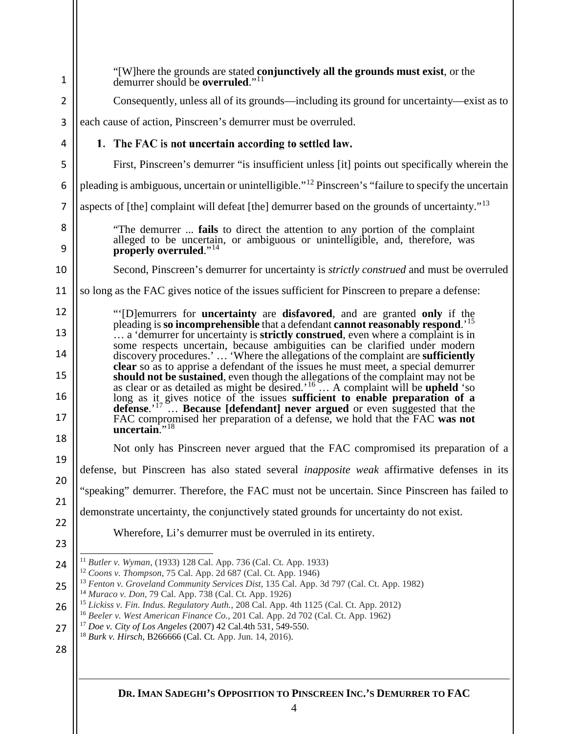<span id="page-4-7"></span><span id="page-4-6"></span><span id="page-4-5"></span><span id="page-4-4"></span><span id="page-4-3"></span><span id="page-4-2"></span><span id="page-4-1"></span><span id="page-4-0"></span>

| $\mathbf 1$    | "[W]here the grounds are stated conjunctively all the grounds must exist, or the<br>demurrer should be overruled." <sup>11</sup>                                                                                                                                                                                                                                                                                                                                                                                                                                                        |  |  |  |  |  |  |  |  |  |
|----------------|-----------------------------------------------------------------------------------------------------------------------------------------------------------------------------------------------------------------------------------------------------------------------------------------------------------------------------------------------------------------------------------------------------------------------------------------------------------------------------------------------------------------------------------------------------------------------------------------|--|--|--|--|--|--|--|--|--|
| $\overline{2}$ | Consequently, unless all of its grounds—including its ground for uncertainty—exist as to                                                                                                                                                                                                                                                                                                                                                                                                                                                                                                |  |  |  |  |  |  |  |  |  |
| 3              | each cause of action, Pinscreen's demurrer must be overruled.                                                                                                                                                                                                                                                                                                                                                                                                                                                                                                                           |  |  |  |  |  |  |  |  |  |
| 4              | 1. The FAC is not uncertain according to settled law.                                                                                                                                                                                                                                                                                                                                                                                                                                                                                                                                   |  |  |  |  |  |  |  |  |  |
| 5              | First, Pinscreen's demurrer "is insufficient unless [it] points out specifically wherein the                                                                                                                                                                                                                                                                                                                                                                                                                                                                                            |  |  |  |  |  |  |  |  |  |
| 6              | pleading is ambiguous, uncertain or unintelligible." <sup>12</sup> Pinscreen's "failure to specify the uncertain                                                                                                                                                                                                                                                                                                                                                                                                                                                                        |  |  |  |  |  |  |  |  |  |
| 7              | aspects of [the] complaint will defeat [the] demurrer based on the grounds of uncertainty." <sup>13</sup>                                                                                                                                                                                                                                                                                                                                                                                                                                                                               |  |  |  |  |  |  |  |  |  |
| 8<br>9         | "The demurrer  fails to direct the attention to any portion of the complaint<br>alleged to be uncertain, or ambiguous or unintelligible, and, therefore, was<br>properly overruled." <sup>14</sup>                                                                                                                                                                                                                                                                                                                                                                                      |  |  |  |  |  |  |  |  |  |
| 10             | Second, Pinscreen's demurrer for uncertainty is <i>strictly construed</i> and must be overruled                                                                                                                                                                                                                                                                                                                                                                                                                                                                                         |  |  |  |  |  |  |  |  |  |
| 11             | so long as the FAC gives notice of the issues sufficient for Pinscreen to prepare a defense:                                                                                                                                                                                                                                                                                                                                                                                                                                                                                            |  |  |  |  |  |  |  |  |  |
| 12             | "[D] emurrers for <b>uncertainty</b> are <b>disfavored</b> , and are granted <b>only</b> if the                                                                                                                                                                                                                                                                                                                                                                                                                                                                                         |  |  |  |  |  |  |  |  |  |
| 13<br>14       | pleading is so incomprehensible that a defendant cannot reasonably respond. <sup>15</sup><br>a 'demurrer for uncertainty is <b>strictly construed</b> , even where a complaint is in<br>some respects uncertain, because ambiguities can be clarified under modern                                                                                                                                                                                                                                                                                                                      |  |  |  |  |  |  |  |  |  |
| 15             | discovery procedures.'  'Where the allegations of the complaint are sufficiently<br>clear so as to apprise a defendant of the issues he must meet, a special demurrer<br>should not be sustained, even though the allegations of the complaint may not be as clear or as detailed as might be desired. <sup>'16</sup> A complaint will be upheld 'so long as it, gives notice of the issues <b>sufficient to e</b><br>defense. <sup>'17</sup> Because [defendant] never argued or even suggested that the<br>FAC compromised her preparation of a defense, we hold that the FAC was not |  |  |  |  |  |  |  |  |  |
| 16<br>17       |                                                                                                                                                                                                                                                                                                                                                                                                                                                                                                                                                                                         |  |  |  |  |  |  |  |  |  |
| 18             | uncertain." <sup>18</sup>                                                                                                                                                                                                                                                                                                                                                                                                                                                                                                                                                               |  |  |  |  |  |  |  |  |  |
| 19             | Not only has Pinscreen never argued that the FAC compromised its preparation of a                                                                                                                                                                                                                                                                                                                                                                                                                                                                                                       |  |  |  |  |  |  |  |  |  |
| 20             | defense, but Pinscreen has also stated several <i>inapposite weak</i> affirmative defenses in its                                                                                                                                                                                                                                                                                                                                                                                                                                                                                       |  |  |  |  |  |  |  |  |  |
| 21             | "speaking" demurrer. Therefore, the FAC must not be uncertain. Since Pinscreen has failed to                                                                                                                                                                                                                                                                                                                                                                                                                                                                                            |  |  |  |  |  |  |  |  |  |
| 22             | demonstrate uncertainty, the conjunctively stated grounds for uncertainty do not exist.                                                                                                                                                                                                                                                                                                                                                                                                                                                                                                 |  |  |  |  |  |  |  |  |  |
| 23             | Wherefore, Li's demurrer must be overruled in its entirety.                                                                                                                                                                                                                                                                                                                                                                                                                                                                                                                             |  |  |  |  |  |  |  |  |  |
| 24             | <sup>11</sup> Butler v. Wyman, (1933) 128 Cal. App. 736 (Cal. Ct. App. 1933)                                                                                                                                                                                                                                                                                                                                                                                                                                                                                                            |  |  |  |  |  |  |  |  |  |
| 25             | <sup>12</sup> Coons v. Thompson, 75 Cal. App. 2d 687 (Cal. Ct. App. 1946)<br><sup>13</sup> Fenton v. Groveland Community Services Dist, 135 Cal. App. 3d 797 (Cal. Ct. App. 1982)                                                                                                                                                                                                                                                                                                                                                                                                       |  |  |  |  |  |  |  |  |  |
| 26             | <sup>14</sup> Muraco v. Don, 79 Cal. App. 738 (Cal. Ct. App. 1926)<br><sup>15</sup> Lickiss v. Fin. Indus. Regulatory Auth., 208 Cal. App. 4th 1125 (Cal. Ct. App. 2012)                                                                                                                                                                                                                                                                                                                                                                                                                |  |  |  |  |  |  |  |  |  |
| 27             | <sup>16</sup> Beeler v. West American Finance Co., 201 Cal. App. 2d 702 (Cal. Ct. App. 1962)<br><sup>17</sup> Doe v. City of Los Angeles (2007) 42 Cal.4th 531, 549-550.                                                                                                                                                                                                                                                                                                                                                                                                                |  |  |  |  |  |  |  |  |  |
| 28             | <sup>18</sup> Burk v. Hirsch, B266666 (Cal. Ct. App. Jun. 14, 2016).                                                                                                                                                                                                                                                                                                                                                                                                                                                                                                                    |  |  |  |  |  |  |  |  |  |
|                | DR. IMAN SADEGHI'S OPPOSITION TO PINSCREEN INC.'S DEMURRER TO FAC                                                                                                                                                                                                                                                                                                                                                                                                                                                                                                                       |  |  |  |  |  |  |  |  |  |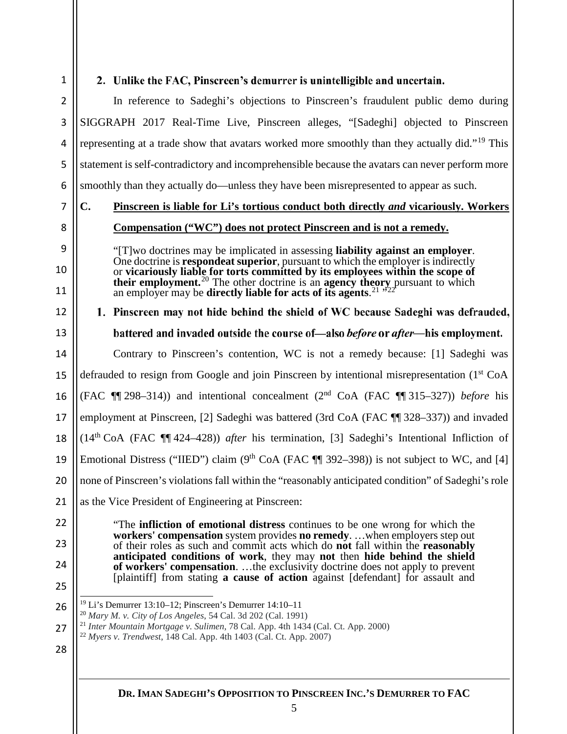1

3

5

6

8

9

10

11

12

13

14

15

16

17

18

19

20

21

#### 2. Unlike the FAC, Pinscreen's demurrer is unintelligible and uncertain.

2 4 In reference to Sadeghi's objections to Pinscreen's fraudulent public demo during SIGGRAPH 2017 Real-Time Live, Pinscreen alleges, "[Sadeghi] objected to Pinscreen representing at a trade show that avatars worked more smoothly than they actually did."<sup>[19](#page-5-0)</sup> This statement is self-contradictory and incomprehensible because the avatars can never perform more smoothly than they actually do—unless they have been misrepresented to appear as such.

7

# **C. Pinscreen is liable for Li's tortious conduct both directly** *and* **vicariously. Workers**

- - **Compensation ("WC") does not protect Pinscreen and is not a remedy.**

"[T]wo doctrines may be implicated in assessing **liability against an employer**. One doctrine is **respondeat superior**, pursuant to which the employer is indirectly or **vicariously liable for torts committed by its employees within the scope of their employment.**[20](#page-5-1) The other doctrine is an **agency theory** pursuant to which an employer may be **directly liable for acts of its agents**.<sup>[21](#page-5-2)</sup>  $\cdot$ <sup>5[22](#page-5-3)</sup>

1. Pinscreen may not hide behind the shield of WC because Sadeghi was defrauded, battered and invaded outside the course of—also *before* or *after*—his employment. Contrary to Pinscreen's contention, WC is not a remedy because: [1] Sadeghi was defrauded to resign from Google and join Pinscreen by intentional misrepresentation  $(1<sup>st</sup> CoA)$ (FAC ¶¶ 298–314)) and intentional concealment (2nd CoA (FAC ¶¶ 315–327)) *before* his employment at Pinscreen, [2] Sadeghi was battered (3rd CoA (FAC ¶¶ 328–337)) and invaded (14th CoA (FAC ¶¶ 424–428)) *after* his termination, [3] Sadeghi's Intentional Infliction of Emotional Distress ("IIED") claim (9<sup>th</sup> CoA (FAC  $\P$  392–398)) is not subject to WC, and [4] none of Pinscreen's violations fall within the "reasonably anticipated condition" of Sadeghi's role as the Vice President of Engineering at Pinscreen:

 $22$ 23

"The **infliction of emotional distress** continues to be one wrong for which the **workers' compensation** system provides **no remedy**. …when employers step out of their roles as such and commit acts which do **not** fall within the **reasonably anticipated conditions of work**, they may **not** then **hide behind the shield of workers' compensation**. …the exclusivity doctrine does not apply to prevent [plaintiff] from stating **a cause of action** against [defendant] for assault and

<span id="page-5-0"></span>25 26

24

- 19 Li's Demurrer 13:10–12; Pinscreen's Demurrer 14:10–11
- <sup>20</sup> *Mary M. v. City of Los Angeles*, 54 Cal. 3d 202 (Cal. 1991)
- <sup>21</sup> *Inter Mountain Mortgage v. Sulimen*, 78 Cal. App. 4th 1434 (Cal. Ct. App. 2000)
- <span id="page-5-3"></span><span id="page-5-2"></span><span id="page-5-1"></span>27 <sup>22</sup> *Myers v. Trendwest*, 148 Cal. App. 4th 1403 (Cal. Ct. App. 2007)
- 28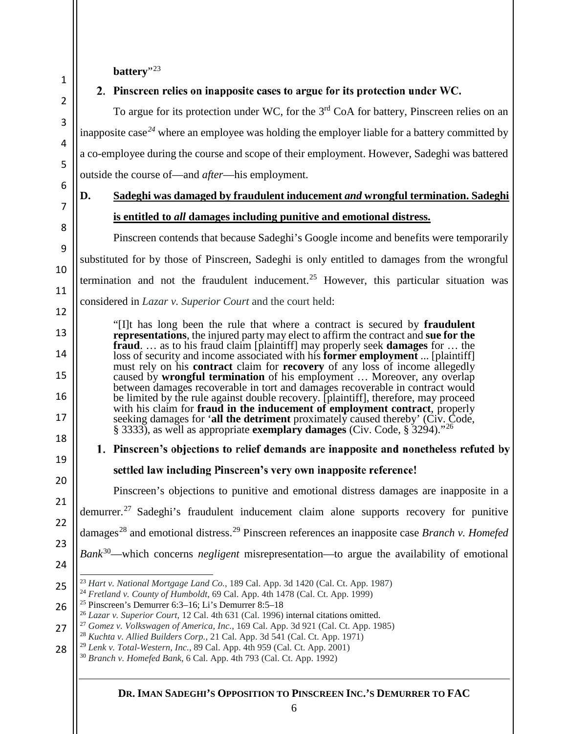battery"<sup>[23](#page-6-0)</sup>

1

2

3

4

5

6

7

8

9

10

11

12

13

14

15

16

17

18

19

20

21

22

23

24

#### 2. Pinscreen relies on inapposite cases to argue for its protection under  $WC$ .

To argue for its protection under WC, for the 3<sup>rd</sup> CoA for battery, Pinscreen relies on an inapposite case*[24](#page-6-1)* where an employee was holding the employer liable for a battery committed by a co-employee during the course and scope of their employment. However, Sadeghi was battered outside the course of—and *after*—his employment.

### **D. Sadeghi was damaged by fraudulent inducement** *and* **wrongful termination. Sadeghi is entitled to** *all* **damages including punitive and emotional distress.**

Pinscreen contends that because Sadeghi's Google income and benefits were temporarily substituted for by those of Pinscreen, Sadeghi is only entitled to damages from the wrongful termination and not the fraudulent inducement.<sup>[25](#page-6-2)</sup> However, this particular situation was considered in *Lazar v. Superior Court* and the court held:

"[I]t has long been the rule that where a contract is secured by **fraudulent representations**, the injured party may elect to affirm the contract and **sue for the fraud**. … as to his fraud claim [plaintiff] may properly seek **damages** for … the loss of security and income associated with his **former employment** ... [plaintiff] must rely on his **contract** claim for **recovery** of any loss of income allegedly caused by **wrongful termination** of his employment … Moreover, any overlap between damages recoverable in tort and damages recoverable in contract would be limited by the rule against double recovery. [plaintiff], therefore, may proceed with his claim for **fraud in the inducement of employment contract**, properly seeking damages for '**all the detriment** proximately caused thereby' (Civ. Code, § 3333), as well as appropriate **exemplary damages** (Civ. Code, § 3294)."[26](#page-6-3)

### 1. Pinscreen's objections to relief demands are inapposite and nonetheless refuted by settled law including Pinscreen's very own inapposite reference!

Pinscreen's objections to punitive and emotional distress damages are inapposite in a demurrer.[27](#page-6-4) Sadeghi's fraudulent inducement claim alone supports recovery for punitive damages[28](#page-6-5) and emotional distress.[29](#page-6-6) Pinscreen references an inapposite case *Branch v. Homefed Bank*[30—](#page-6-7)which concerns *negligent* misrepresentation—to argue the availability of emotional

- <sup>28</sup> *Kuchta v. Allied Builders Corp.*, 21 Cal. App. 3d 541 (Cal. Ct. App. 1971)<br><sup>29</sup> *Lenk v. Total-Western, Inc.*, 89 Cal. App. 4th 959 (Cal. Ct. App. 2001)
- <span id="page-6-7"></span><span id="page-6-6"></span>28
	- <sup>30</sup> *Branch v. Homefed Bank*, 6 Cal. App. 4th 793 (Cal. Ct. App. 1992)

<span id="page-6-1"></span><span id="page-6-0"></span><sup>25</sup> 23 *Hart v. National Mortgage Land Co.*, 189 Cal. App. 3d 1420 (Cal. Ct. App. 1987)

<sup>24</sup> *Fretland v. County of Humboldt*, 69 Cal. App. 4th 1478 (Cal. Ct. App. 1999)

<span id="page-6-2"></span><sup>26</sup> <sup>25</sup> Pinscreen's Demurrer 6:3–16; Li's Demurrer 8:5–18

<sup>26</sup> *Lazar v. Superior Court*, 12 Cal. 4th 631 (Cal. 1996) internal citations omitted.

<span id="page-6-5"></span><span id="page-6-4"></span><span id="page-6-3"></span><sup>27</sup> <sup>27</sup> *Gomez v. Volkswagen of America, Inc.*, 169 Cal. App. 3d 921 (Cal. Ct. App. 1985)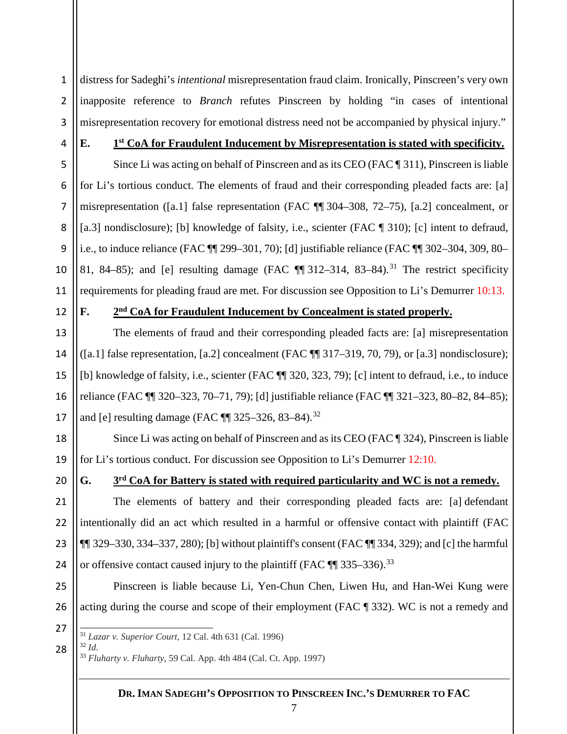1 2 3 distress for Sadeghi's *intentional* misrepresentation fraud claim. Ironically, Pinscreen's very own inapposite reference to *Branch* refutes Pinscreen by holding "in cases of intentional misrepresentation recovery for emotional distress need not be accompanied by physical injury."

4

5

6

7

8

9

10

11

#### **E. 1st CoA for Fraudulent Inducement by Misrepresentation is stated with specificity.**

Since Li was acting on behalf of Pinscreen and as its CEO (FAC ¶ 311), Pinscreen is liable for Li's tortious conduct. The elements of fraud and their corresponding pleaded facts are: [a] misrepresentation ([a.1] false representation (FAC ¶¶ 304–308, 72–75), [a.2] concealment, or [a.3] nondisclosure); [b] knowledge of falsity, i.e., scienter (FAC  $\P$  310); [c] intent to defraud, i.e., to induce reliance (FAC ¶¶ 299–301, 70); [d] justifiable reliance (FAC ¶¶ 302–304, 309, 80– 81, 84–85); and [e] resulting damage (FAC  $\P$  [31](#page-7-0)2–314, 83–84).<sup>31</sup> The restrict specificity requirements for pleading fraud are met. For discussion see Opposition to Li's Demurrer 10:13.

12

13

14

15

16

17

20

21

22

23

24

25

26

#### **F. 2nd CoA for Fraudulent Inducement by Concealment is stated properly.**

The elements of fraud and their corresponding pleaded facts are: [a] misrepresentation  $([a.1]$  false representation,  $[a.2]$  concealment (FAC  $\P$  317–319, 70, 79), or  $[a.3]$  nondisclosure); [b] knowledge of falsity, i.e., scienter (FAC ¶¶ 320, 323, 79); [c] intent to defraud, i.e., to induce reliance (FAC ¶¶ 320–323, 70–71, 79); [d] justifiable reliance (FAC ¶¶ 321–323, 80–82, 84–85); and [e] resulting damage (FAC ¶ [32](#page-7-1)5–326, 83–84).<sup>32</sup>

18 19 Since Li was acting on behalf of Pinscreen and as its CEO (FAC ¶ 324), Pinscreen is liable for Li's tortious conduct. For discussion see Opposition to Li's Demurrer 12:10.

#### **G. 3rd CoA for Battery is stated with required particularity and WC is not a remedy.**

The elements of battery and their corresponding pleaded facts are: [a] defendant intentionally did an act which resulted in a harmful or offensive contact with plaintiff (FAC  $\P$  329–330, 334–337, 280); [b] without plaintiff's consent (FAC  $\P$  334, 329); and [c] the harmful or offensive contact caused injury to the plaintiff (FAC  $\P$   $\eta$  [33](#page-7-2)5–336).<sup>33</sup>

Pinscreen is liable because Li, Yen-Chun Chen, Liwen Hu, and Han-Wei Kung were acting during the course and scope of their employment (FAC ¶ 332). WC is not a remedy and

<span id="page-7-2"></span><span id="page-7-1"></span>28

<sup>32</sup> *Id.*

<span id="page-7-0"></span><sup>27</sup> 31 *Lazar v. Superior Court*, 12 Cal. 4th 631 (Cal. 1996)

<sup>33</sup> *Fluharty v. Fluharty*, 59 Cal. App. 4th 484 (Cal. Ct. App. 1997)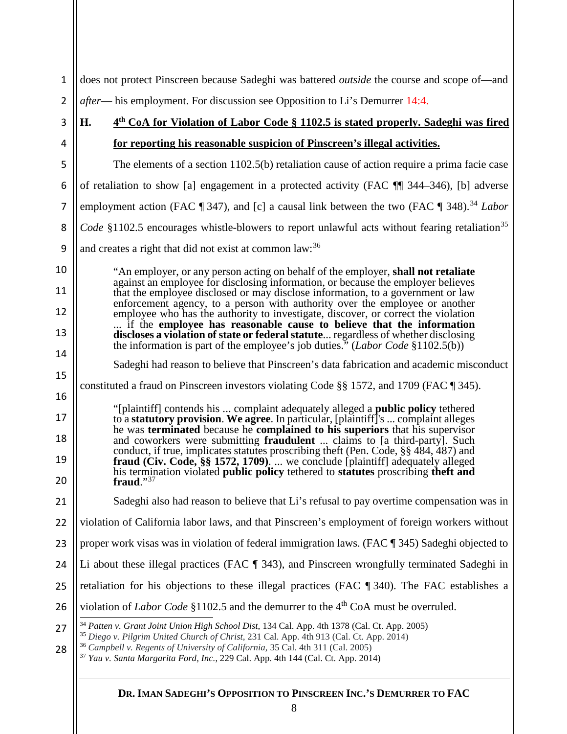<span id="page-8-3"></span><span id="page-8-2"></span><span id="page-8-1"></span><span id="page-8-0"></span>

| $\mathbf 1$                                                                                   | does not protect Pinscreen because Sadeghi was battered <i>outside</i> the course and scope of—and                                                                                                                                                                                                                                                                                                                          |  |  |  |  |  |  |  |
|-----------------------------------------------------------------------------------------------|-----------------------------------------------------------------------------------------------------------------------------------------------------------------------------------------------------------------------------------------------------------------------------------------------------------------------------------------------------------------------------------------------------------------------------|--|--|--|--|--|--|--|
| $\overline{2}$                                                                                | <i>after</i> — his employment. For discussion see Opposition to Li's Demurrer 14:4.                                                                                                                                                                                                                                                                                                                                         |  |  |  |  |  |  |  |
| 3                                                                                             | 4 <sup>th</sup> CoA for Violation of Labor Code § 1102.5 is stated properly. Sadeghi was fired<br>Н.                                                                                                                                                                                                                                                                                                                        |  |  |  |  |  |  |  |
| 4                                                                                             | for reporting his reasonable suspicion of Pinscreen's illegal activities.                                                                                                                                                                                                                                                                                                                                                   |  |  |  |  |  |  |  |
| 5                                                                                             | The elements of a section 1102.5(b) retaliation cause of action require a prima facie case                                                                                                                                                                                                                                                                                                                                  |  |  |  |  |  |  |  |
| 6                                                                                             | of retaliation to show [a] engagement in a protected activity (FAC TI 344–346), [b] adverse                                                                                                                                                                                                                                                                                                                                 |  |  |  |  |  |  |  |
| $\overline{7}$                                                                                | employment action (FAC $\P$ 347), and [c] a causal link between the two (FAC $\P$ 348). <sup>34</sup> Labor                                                                                                                                                                                                                                                                                                                 |  |  |  |  |  |  |  |
| 8                                                                                             | <i>Code</i> §1102.5 encourages whistle-blowers to report unlawful acts without fearing retaliation <sup>35</sup>                                                                                                                                                                                                                                                                                                            |  |  |  |  |  |  |  |
| 9                                                                                             | and creates a right that did not exist at common law: <sup>36</sup>                                                                                                                                                                                                                                                                                                                                                         |  |  |  |  |  |  |  |
| 10                                                                                            | "An employer, or any person acting on behalf of the employer, shall not retaliate                                                                                                                                                                                                                                                                                                                                           |  |  |  |  |  |  |  |
| 11                                                                                            | against an employee for disclosing information, or because the employer believes<br>that the employee disclosed or may disclose information, to a government or law                                                                                                                                                                                                                                                         |  |  |  |  |  |  |  |
| 12                                                                                            | enforcement agency, to a person with authority over the employee or another<br>employee who has the authority to investigate, discover, or correct the violation<br>if the employee has reasonable cause to believe that the information<br>discloses a violation of state or federal statute regardless of whether disclosing<br>the information is part of the employee's job duties." ( <i>Labor Code</i> $$1102.5(b)$ ) |  |  |  |  |  |  |  |
| 13                                                                                            |                                                                                                                                                                                                                                                                                                                                                                                                                             |  |  |  |  |  |  |  |
| 14                                                                                            |                                                                                                                                                                                                                                                                                                                                                                                                                             |  |  |  |  |  |  |  |
| Sadeghi had reason to believe that Pinscreen's data fabrication and academic misconduct<br>15 |                                                                                                                                                                                                                                                                                                                                                                                                                             |  |  |  |  |  |  |  |
| 16                                                                                            | constituted a fraud on Pinscreen investors violating Code $\S$ 1572, and 1709 (FAC $\P$ 345).                                                                                                                                                                                                                                                                                                                               |  |  |  |  |  |  |  |
| 17                                                                                            | "[plaintiff] contends his  complaint adequately alleged a public policy tethered<br>to a statutory provision. We agree. In particular, [plaintiff]'s  complaint alleges                                                                                                                                                                                                                                                     |  |  |  |  |  |  |  |
| 18                                                                                            | he was terminated because he complained to his superiors that his supervisor<br>and coworkers were submitting fraudulent  claims to [a third-party]. Such                                                                                                                                                                                                                                                                   |  |  |  |  |  |  |  |
| 19                                                                                            | conduct, if true, implicates statutes proscribing theft (Pen. Code, §§ 484, 487) and<br>fraud (Civ. Code, $\S$ § 1572, 1709).  we conclude [plaintiff] adequately alleged                                                                                                                                                                                                                                                   |  |  |  |  |  |  |  |
| 20                                                                                            | his termination violated public policy tethered to statutes proscribing theft and<br>fraud." $37$                                                                                                                                                                                                                                                                                                                           |  |  |  |  |  |  |  |
| 21                                                                                            | Sadeghi also had reason to believe that Li's refusal to pay overtime compensation was in                                                                                                                                                                                                                                                                                                                                    |  |  |  |  |  |  |  |
| 22                                                                                            | violation of California labor laws, and that Pinscreen's employment of foreign workers without                                                                                                                                                                                                                                                                                                                              |  |  |  |  |  |  |  |
| 23                                                                                            | proper work visas was in violation of federal immigration laws. (FAC ¶ 345) Sadeghi objected to                                                                                                                                                                                                                                                                                                                             |  |  |  |  |  |  |  |
| 24                                                                                            | Li about these illegal practices (FAC ¶ 343), and Pinscreen wrongfully terminated Sadeghi in                                                                                                                                                                                                                                                                                                                                |  |  |  |  |  |  |  |
| 25                                                                                            | retaliation for his objections to these illegal practices (FAC ¶ 340). The FAC establishes a                                                                                                                                                                                                                                                                                                                                |  |  |  |  |  |  |  |
| 26                                                                                            | violation of Labor Code §1102.5 and the demurrer to the 4 <sup>th</sup> CoA must be overruled.                                                                                                                                                                                                                                                                                                                              |  |  |  |  |  |  |  |
| 27                                                                                            | <sup>34</sup> Patten v. Grant Joint Union High School Dist, 134 Cal. App. 4th 1378 (Cal. Ct. App. 2005)<br><sup>35</sup> Diego v. Pilgrim United Church of Christ, 231 Cal. App. 4th 913 (Cal. Ct. App. 2014)                                                                                                                                                                                                               |  |  |  |  |  |  |  |
| 28                                                                                            | <sup>36</sup> Campbell v. Regents of University of California, 35 Cal. 4th 311 (Cal. 2005)<br><sup>37</sup> Yau v. Santa Margarita Ford, Inc., 229 Cal. App. 4th 144 (Cal. Ct. App. 2014)                                                                                                                                                                                                                                   |  |  |  |  |  |  |  |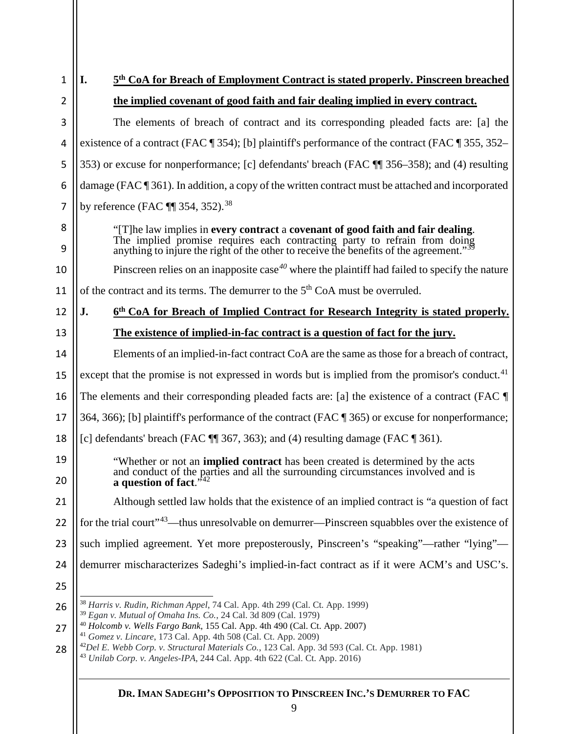| 1        | 5 <sup>th</sup> CoA for Breach of Employment Contract is stated properly. Pinscreen breached<br>I.                                                                                                                                                                                                                                                          |  |  |  |  |  |  |  |  |
|----------|-------------------------------------------------------------------------------------------------------------------------------------------------------------------------------------------------------------------------------------------------------------------------------------------------------------------------------------------------------------|--|--|--|--|--|--|--|--|
| 2        | the implied covenant of good faith and fair dealing implied in every contract.                                                                                                                                                                                                                                                                              |  |  |  |  |  |  |  |  |
| 3        | The elements of breach of contract and its corresponding pleaded facts are: [a] the                                                                                                                                                                                                                                                                         |  |  |  |  |  |  |  |  |
| 4        | existence of a contract (FAC $\P$ 354); [b] plaintiff's performance of the contract (FAC $\P$ 355, 352–                                                                                                                                                                                                                                                     |  |  |  |  |  |  |  |  |
| 5        | 353) or excuse for nonperformance; [c] defendants' breach (FAC ¶ 356–358); and (4) resulting                                                                                                                                                                                                                                                                |  |  |  |  |  |  |  |  |
| 6        | damage (FAC $\P$ 361). In addition, a copy of the written contract must be attached and incorporated                                                                                                                                                                                                                                                        |  |  |  |  |  |  |  |  |
| 7        | by reference (FAC $\P$ 354, 352). <sup>38</sup>                                                                                                                                                                                                                                                                                                             |  |  |  |  |  |  |  |  |
| 8<br>9   | "[T] he law implies in every contract a covenant of good faith and fair dealing.<br>The implied promise requires each contracting party to refrain from doing<br>anything to injure the right of the other to receive the benefits of the agreement." $\frac{350}{39}$                                                                                      |  |  |  |  |  |  |  |  |
| 10       | Pinscreen relies on an inapposite case <sup>40</sup> where the plaintiff had failed to specify the nature                                                                                                                                                                                                                                                   |  |  |  |  |  |  |  |  |
| 11       | of the contract and its terms. The demurrer to the 5 <sup>th</sup> CoA must be overruled.                                                                                                                                                                                                                                                                   |  |  |  |  |  |  |  |  |
| 12       | J.<br>6th CoA for Breach of Implied Contract for Research Integrity is stated properly.                                                                                                                                                                                                                                                                     |  |  |  |  |  |  |  |  |
| 13       | The existence of implied-in-fac contract is a question of fact for the jury.                                                                                                                                                                                                                                                                                |  |  |  |  |  |  |  |  |
| 14       | Elements of an implied-in-fact contract CoA are the same as those for a breach of contract,                                                                                                                                                                                                                                                                 |  |  |  |  |  |  |  |  |
| 15       | except that the promise is not expressed in words but is implied from the promisor's conduct. <sup>41</sup>                                                                                                                                                                                                                                                 |  |  |  |  |  |  |  |  |
| 16       | The elements and their corresponding pleaded facts are: [a] the existence of a contract (FAC $\P$                                                                                                                                                                                                                                                           |  |  |  |  |  |  |  |  |
| 17       | 364, 366); [b] plaintiff's performance of the contract (FAC ¶ 365) or excuse for nonperformance;                                                                                                                                                                                                                                                            |  |  |  |  |  |  |  |  |
| 18       | [c] defendants' breach (FAC $\P$ 367, 363); and (4) resulting damage (FAC $\P$ 361).                                                                                                                                                                                                                                                                        |  |  |  |  |  |  |  |  |
| 19<br>20 | "Whether or not an <b>implied contract</b> has been created is determined by the acts<br>and conduct of the parties and all the surrounding circumstances involved and is<br>a question of fact. $1/12$                                                                                                                                                     |  |  |  |  |  |  |  |  |
| 21       | Although settled law holds that the existence of an implied contract is "a question of fact"                                                                                                                                                                                                                                                                |  |  |  |  |  |  |  |  |
| 22       | for the trial court" <sup>43</sup> —thus unresolvable on demurrer—Pinscreen squabbles over the existence of                                                                                                                                                                                                                                                 |  |  |  |  |  |  |  |  |
| 23       | such implied agreement. Yet more preposterously, Pinscreen's "speaking"—rather "lying"—                                                                                                                                                                                                                                                                     |  |  |  |  |  |  |  |  |
| 24       | demurrer mischaracterizes Sadeghi's implied-in-fact contract as if it were ACM's and USC's.                                                                                                                                                                                                                                                                 |  |  |  |  |  |  |  |  |
| 25       |                                                                                                                                                                                                                                                                                                                                                             |  |  |  |  |  |  |  |  |
| 26       | <sup>38</sup> Harris v. Rudin, Richman Appel, 74 Cal. App. 4th 299 (Cal. Ct. App. 1999)                                                                                                                                                                                                                                                                     |  |  |  |  |  |  |  |  |
| 27<br>28 | <sup>39</sup> Egan v. Mutual of Omaha Ins. Co., 24 Cal. 3d 809 (Cal. 1979)<br><sup>40</sup> Holcomb v. Wells Fargo Bank, 155 Cal. App. 4th 490 (Cal. Ct. App. 2007)<br><sup>41</sup> Gomez v. Lincare, 173 Cal. App. 4th 508 (Cal. Ct. App. 2009)<br><sup>42</sup> Del E. Webb Corp. v. Structural Materials Co., 123 Cal. App. 3d 593 (Cal. Ct. App. 1981) |  |  |  |  |  |  |  |  |

<span id="page-9-5"></span><span id="page-9-4"></span><span id="page-9-3"></span><span id="page-9-2"></span><span id="page-9-1"></span><span id="page-9-0"></span>*Unilab Corp. v. Angeles-IPA*, 244 Cal. App. 4th 622 (Cal. Ct. App. 2016)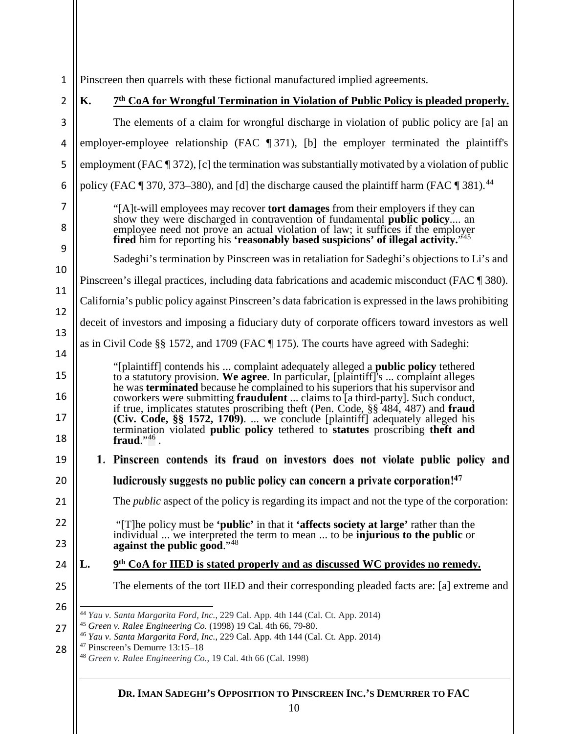1 Pinscreen then quarrels with these fictional manufactured implied agreements.

<span id="page-10-4"></span><span id="page-10-3"></span><span id="page-10-2"></span><span id="page-10-1"></span><span id="page-10-0"></span>2 **K. 7th CoA for Wrongful Termination in Violation of Public Policy is pleaded properly.** 3 The elements of a claim for wrongful discharge in violation of public policy are [a] an 4 employer-employee relationship (FAC ¶ 371), [b] the employer terminated the plaintiff's 5 employment (FAC ¶ 372), [c] the termination was substantially motivated by a violation of public policy (FAC  $\parallel$  370, 373–380), and [d] the discharge caused the plaintiff harm (FAC  $\parallel$  381).<sup>[44](#page-10-0)</sup> 6 7 "[A]t-will employees may recover **tort damages** from their employers if they can show they were discharged in contravention of fundamental **public policy**.... an 8 employee need not prove an actual violation of law; it suffices if the employer **fired** him for reporting his **'reasonably based suspicions' of illegal activity."** 9 Sadeghi's termination by Pinscreen was in retaliation for Sadeghi's objections to Li's and 10 Pinscreen's illegal practices, including data fabrications and academic misconduct (FAC ¶ 380). 11 California's public policy against Pinscreen's data fabrication is expressed in the laws prohibiting 12 deceit of investors and imposing a fiduciary duty of corporate officers toward investors as well 13 as in Civil Code §§ 1572, and 1709 (FAC ¶ 175). The courts have agreed with Sadeghi: 14 "[plaintiff] contends his ... complaint adequately alleged a **public policy** tethered 15 to a statutory provision. **We agree**. In particular, [plaintiff]'s ... complaint alleges he was **terminated** because he complained to his superiors that his supervisor and 16 coworkers were submitting **fraudulent** ... claims to [a third-party]. Such conduct, if true, implicates statutes proscribing theft (Pen. Code, §§ 484, 487) and **fraud**  17 **(Civ. Code, §§ 1572, 1709)**. ... we conclude [plaintiff] adequately alleged his termination violated **public policy** tethered to **statutes** proscribing **theft and**  18 **fraud**."[46](#page-10-2) . 1. Pinscreen contends its fraud on investors does not violate public policy and 19 20 ludicrously suggests no public policy can concern a private corporation!<sup>47</sup> [Th](#page-10-3)e *public* aspect of the policy is regarding its impact and not the type of the corporation: 21  $22$ "[T]he policy must be **'public'** in that it **'affects society at large'** rather than the individual ... we interpreted the term to mean ... to be **injurious to the public** or 23 **against the public good**."[48](#page-10-4) **L. 9th CoA for IIED is stated properly and as discussed WC provides no remedy.** 24 25 The elements of the tort IIED and their corresponding pleaded facts are: [a] extreme and 26 44 *Yau v. Santa Margarita Ford, Inc.*, 229 Cal. App. 4th 144 (Cal. Ct. App. 2014) <sup>45</sup> *Green v. Ralee Engineering Co.* (1998) 19 Cal. 4th 66, 79-80. 27 <sup>46</sup> *Yau v. Santa Margarita Ford, Inc.*, 229 Cal. App. 4th 144 (Cal. Ct. App. 2014) <sup>47</sup> Pinscreen's Demurre 13:15–18 28 <sup>48</sup> *Green v. Ralee Engineering Co.*, 19 Cal. 4th 66 (Cal. 1998)**DR. IMAN SADEGHI'S OPPOSITION TO PINSCREEN INC.'S DEMURRER TO FAC**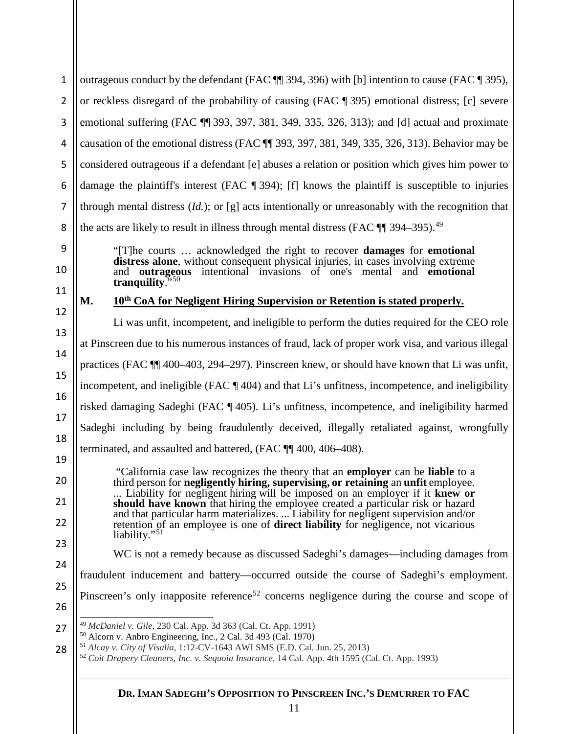<span id="page-11-3"></span><span id="page-11-2"></span><span id="page-11-1"></span><span id="page-11-0"></span>

| 1              | outrageous conduct by the defendant (FAC ¶ 394, 396) with [b] intention to cause (FAC ¶ 395),                                                                                                                                                                                                                                                                   |  |  |  |  |  |  |  |  |
|----------------|-----------------------------------------------------------------------------------------------------------------------------------------------------------------------------------------------------------------------------------------------------------------------------------------------------------------------------------------------------------------|--|--|--|--|--|--|--|--|
| $\overline{2}$ | or reckless disregard of the probability of causing (FAC ¶ 395) emotional distress; [c] severe                                                                                                                                                                                                                                                                  |  |  |  |  |  |  |  |  |
| 3              | emotional suffering (FAC TI 393, 397, 381, 349, 335, 326, 313); and [d] actual and proximate                                                                                                                                                                                                                                                                    |  |  |  |  |  |  |  |  |
| $\overline{4}$ | causation of the emotional distress (FAC T 393, 397, 381, 349, 335, 326, 313). Behavior may be                                                                                                                                                                                                                                                                  |  |  |  |  |  |  |  |  |
| 5              | considered outrageous if a defendant [e] abuses a relation or position which gives him power to                                                                                                                                                                                                                                                                 |  |  |  |  |  |  |  |  |
| 6              | damage the plaintiff's interest (FAC $\P$ 394); [f] knows the plaintiff is susceptible to injuries                                                                                                                                                                                                                                                              |  |  |  |  |  |  |  |  |
| 7              | through mental distress $(Id.)$ ; or [g] acts intentionally or unreasonably with the recognition that                                                                                                                                                                                                                                                           |  |  |  |  |  |  |  |  |
| 8              | the acts are likely to result in illness through mental distress (FAC $\P$ 394–395). <sup>49</sup>                                                                                                                                                                                                                                                              |  |  |  |  |  |  |  |  |
| 9<br>10        | "[T] he courts  acknowledged the right to recover <b>damages</b> for <b>emotional</b><br>distress alone, without consequent physical injuries, in cases involving extreme<br><b>outrageous</b> intentional invasions of one's mental and <b>emotional</b><br>tranquility. $550$                                                                                 |  |  |  |  |  |  |  |  |
| 11             | 10 <sup>th</sup> CoA for Negligent Hiring Supervision or Retention is stated properly.<br>М.                                                                                                                                                                                                                                                                    |  |  |  |  |  |  |  |  |
| 12             | Li was unfit, incompetent, and ineligible to perform the duties required for the CEO role                                                                                                                                                                                                                                                                       |  |  |  |  |  |  |  |  |
| 13<br>14       | at Pinscreen due to his numerous instances of fraud, lack of proper work visa, and various illegal                                                                                                                                                                                                                                                              |  |  |  |  |  |  |  |  |
| 15             | practices (FAC TI 400–403, 294–297). Pinscreen knew, or should have known that Li was unfit,                                                                                                                                                                                                                                                                    |  |  |  |  |  |  |  |  |
| 16             | incompetent, and ineligible (FAC ¶ 404) and that Li's unfitness, incompetence, and ineligibility                                                                                                                                                                                                                                                                |  |  |  |  |  |  |  |  |
| 17             | risked damaging Sadeghi (FAC ¶405). Li's unfitness, incompetence, and ineligibility harmed                                                                                                                                                                                                                                                                      |  |  |  |  |  |  |  |  |
| 18             | Sadeghi including by being fraudulently deceived, illegally retaliated against, wrongfully                                                                                                                                                                                                                                                                      |  |  |  |  |  |  |  |  |
| 19             | terminated, and assaulted and battered, (FAC ¶ 400, 406-408).                                                                                                                                                                                                                                                                                                   |  |  |  |  |  |  |  |  |
| 20             | "California case law recognizes the theory that an employer can be liable to a                                                                                                                                                                                                                                                                                  |  |  |  |  |  |  |  |  |
| 21             | third person for negligently hiring, supervising, or retaining an unfit employee.<br>Liability for negligent hiring will be imposed on an employer if it knew or<br>should have known that hiring the employee created a particular risk or hazard<br>and that particular harm materializes.  Liability for negligent supervision and/or                        |  |  |  |  |  |  |  |  |
| 22             | retention of an employee is one of <b>direct liability</b> for negligence, not vicarious<br>liability." <sup>51</sup>                                                                                                                                                                                                                                           |  |  |  |  |  |  |  |  |
| 23             | WC is not a remedy because as discussed Sadeghi's damages—including damages from                                                                                                                                                                                                                                                                                |  |  |  |  |  |  |  |  |
| 24             | fraudulent inducement and battery—occurred outside the course of Sadeghi's employment.                                                                                                                                                                                                                                                                          |  |  |  |  |  |  |  |  |
| 25<br>26       | Pinscreen's only inapposite reference <sup>52</sup> concerns negligence during the course and scope of                                                                                                                                                                                                                                                          |  |  |  |  |  |  |  |  |
| 27<br>28       | <sup>49</sup> McDaniel v. Gile, 230 Cal. App. 3d 363 (Cal. Ct. App. 1991)<br><sup>50</sup> Alcorn v. Anbro Engineering, Inc., 2 Cal. 3d 493 (Cal. 1970)<br><sup>51</sup> Alcay v. City of Visalia, 1:12-CV-1643 AWI SMS (E.D. Cal. Jun. 25, 2013)<br><sup>52</sup> Coit Drapery Cleaners, Inc. v. Sequoia Insurance, 14 Cal. App. 4th 1595 (Cal. Ct. App. 1993) |  |  |  |  |  |  |  |  |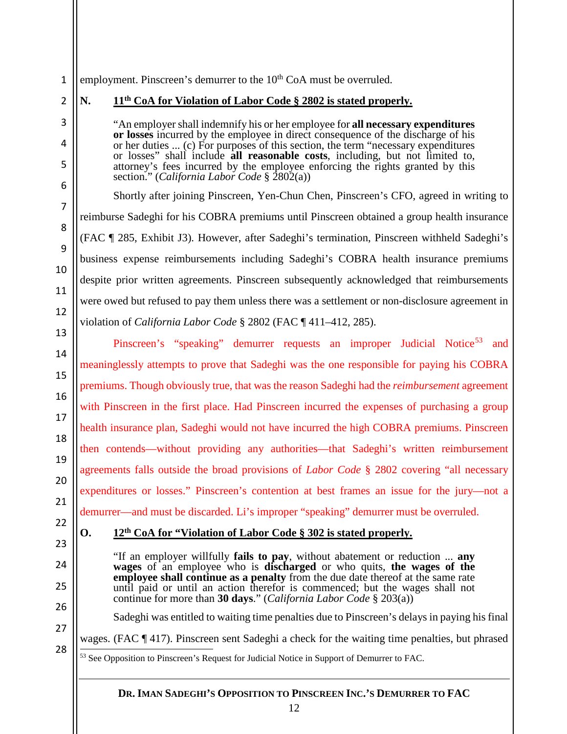#### 1 employment. Pinscreen's demurrer to the  $10<sup>th</sup>$  CoA must be overruled.

2

3

4

5

6

7

8

9

10

11

12

13

14

15

16

17

18

19

20

21

22

23

24

25

26

27

<span id="page-12-0"></span>28

### **N. 11th CoA for Violation of Labor Code § 2802 is stated properly.**

"An employer shall indemnify his or her employee for **all necessary expenditures or losses** incurred by the employee in direct consequence of the discharge of his or her duties ... (c) For purposes of this section, the term "necessary expenditures or losses" shall include **all reasonable costs**, including, but not limited to, attorney's fees incurred by the employee enforcing the rights granted by this section." (*California Labor Code* § 2802(a))

Shortly after joining Pinscreen, Yen-Chun Chen, Pinscreen's CFO, agreed in writing to reimburse Sadeghi for his COBRA premiums until Pinscreen obtained a group health insurance (FAC ¶ 285, Exhibit J3). However, after Sadeghi's termination, Pinscreen withheld Sadeghi's business expense reimbursements including Sadeghi's COBRA health insurance premiums despite prior written agreements. Pinscreen subsequently acknowledged that reimbursements were owed but refused to pay them unless there was a settlement or non-disclosure agreement in violation of *California Labor Code* § 2802 (FAC ¶ 411–412, 285).

Pinscreen's "speaking" demurrer requests an improper Judicial Notice<sup>[53](#page-12-0)</sup> and meaninglessly attempts to prove that Sadeghi was the one responsible for paying his COBRA premiums. Though obviously true, that was the reason Sadeghi had the *reimbursement* agreement with Pinscreen in the first place. Had Pinscreen incurred the expenses of purchasing a group health insurance plan, Sadeghi would not have incurred the high COBRA premiums. Pinscreen then contends—without providing any authorities—that Sadeghi's written reimbursement agreements falls outside the broad provisions of *Labor Code* § 2802 covering "all necessary expenditures or losses." Pinscreen's contention at best frames an issue for the jury—not a demurrer—and must be discarded. Li's improper "speaking" demurrer must be overruled.

#### **O. 12th CoA for "Violation of Labor Code § 302 is stated properly.**

"If an employer willfully **fails to pay**, without abatement or reduction ... **any wages** of an employee who is **discharged** or who quits, the wages of the **employee shall continue as a penalty** from the due date thereof at the same rate until paid or until an action therefor is commenced; but the wages shall not continue for more than **30 days**." (*California Labor Code* § 203(a))

Sadeghi was entitled to waiting time penalties due to Pinscreen's delays in paying his final

wages. (FAC  $\P$  417). Pinscreen sent Sadeghi a check for the waiting time penalties, but phrased  $\frac{53 \text{ See Opposition to Pinscreen's Request for Judicial Notice in Support of Demurer to FAC.}$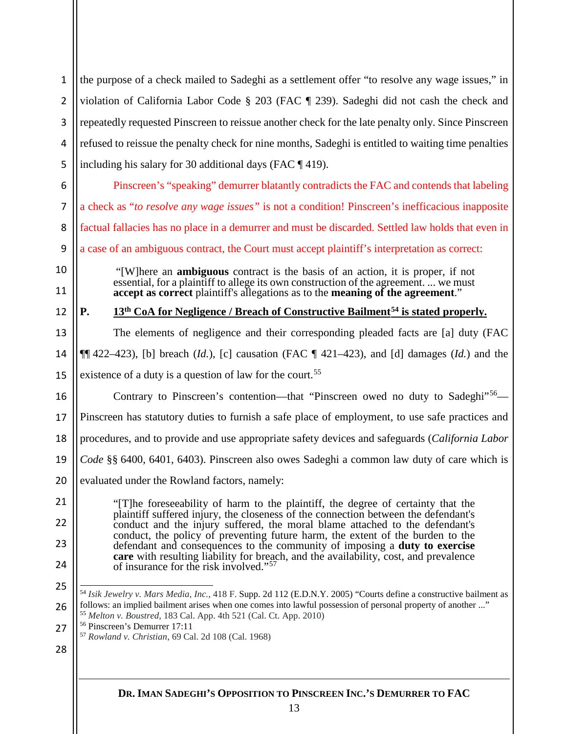<span id="page-13-3"></span><span id="page-13-2"></span><span id="page-13-1"></span><span id="page-13-0"></span>

| $\mathbf{1}$   | the purpose of a check mailed to Sadeghi as a settlement offer "to resolve any wage issues," in                                                                                             |  |  |  |  |  |  |  |  |
|----------------|---------------------------------------------------------------------------------------------------------------------------------------------------------------------------------------------|--|--|--|--|--|--|--|--|
| $\overline{2}$ | violation of California Labor Code § 203 (FAC ¶ 239). Sadeghi did not cash the check and                                                                                                    |  |  |  |  |  |  |  |  |
| 3              | repeatedly requested Pinscreen to reissue another check for the late penalty only. Since Pinscreen                                                                                          |  |  |  |  |  |  |  |  |
| 4              | refused to reissue the penalty check for nine months, Sadeghi is entitled to waiting time penalties                                                                                         |  |  |  |  |  |  |  |  |
| 5              | including his salary for 30 additional days (FAC $\P$ 419).                                                                                                                                 |  |  |  |  |  |  |  |  |
| 6              | Pinscreen's "speaking" demurrer blatantly contradicts the FAC and contends that labeling                                                                                                    |  |  |  |  |  |  |  |  |
| 7              | a check as "to resolve any wage issues" is not a condition! Pinscreen's inefficacious inapposite                                                                                            |  |  |  |  |  |  |  |  |
| 8              | factual fallacies has no place in a demurrer and must be discarded. Settled law holds that even in                                                                                          |  |  |  |  |  |  |  |  |
| 9              | a case of an ambiguous contract, the Court must accept plaintiff's interpretation as correct:                                                                                               |  |  |  |  |  |  |  |  |
| 10             | "[W]here an <b>ambiguous</b> contract is the basis of an action, it is proper, if not<br>essential, for a plaintiff to allege its own construction of the agreement.  we must               |  |  |  |  |  |  |  |  |
| 11             | accept as correct plaintiff's allegations as to the meaning of the agreement."                                                                                                              |  |  |  |  |  |  |  |  |
| 12             | 13 <sup>th</sup> CoA for Negligence / Breach of Constructive Bailment <sup>54</sup> is stated properly.<br>P.                                                                               |  |  |  |  |  |  |  |  |
| 13             | The elements of negligence and their corresponding pleaded facts are [a] duty (FAC                                                                                                          |  |  |  |  |  |  |  |  |
| 14             | $\P$ [422–423), [b] breach ( <i>ld.</i> ), [c] causation (FAC $\P$ 421–423), and [d] damages ( <i>ld.</i> ) and the                                                                         |  |  |  |  |  |  |  |  |
| 15             | existence of a duty is a question of law for the court. <sup>55</sup>                                                                                                                       |  |  |  |  |  |  |  |  |
| 16             | Contrary to Pinscreen's contention—that "Pinscreen owed no duty to Sadeghi" <sup>56</sup> —                                                                                                 |  |  |  |  |  |  |  |  |
| 17             | Pinscreen has statutory duties to furnish a safe place of employment, to use safe practices and                                                                                             |  |  |  |  |  |  |  |  |
| 18             | procedures, and to provide and use appropriate safety devices and safeguards (California Labor                                                                                              |  |  |  |  |  |  |  |  |
| 19             | Code §§ 6400, 6401, 6403). Pinscreen also owes Sadeghi a common law duty of care which is                                                                                                   |  |  |  |  |  |  |  |  |
| 20             | evaluated under the Rowland factors, namely:                                                                                                                                                |  |  |  |  |  |  |  |  |
| 21             | "[T] he foreseeability of harm to the plaintiff, the degree of certainty that the                                                                                                           |  |  |  |  |  |  |  |  |
| 22             | plaintiff suffered injury, the closeness of the connection between the defendant's<br>conduct and the injury suffered, the moral blame attached to the defendant's                          |  |  |  |  |  |  |  |  |
| 23             | conduct, the policy of preventing future harm, the extent of the burden to the<br>defendant and consequences to the community of imposing a duty to exercise                                |  |  |  |  |  |  |  |  |
| 24             | care with resulting liability for breach, and the availability, cost, and prevalence<br>of insurance for the risk involved." <sup>57</sup>                                                  |  |  |  |  |  |  |  |  |
| 25             | 54 Isik Jewelry v. Mars Media, Inc., 418 F. Supp. 2d 112 (E.D.N.Y. 2005) "Courts define a constructive bailment as                                                                          |  |  |  |  |  |  |  |  |
| 26             | follows: an implied bailment arises when one comes into lawful possession of personal property of another "<br><sup>55</sup> Melton v. Boustred, 183 Cal. App. 4th 521 (Cal. Ct. App. 2010) |  |  |  |  |  |  |  |  |
| 27             | <sup>56</sup> Pinscreen's Demurrer 17:11<br><sup>57</sup> Rowland v. Christian, 69 Cal. 2d 108 (Cal. 1968)                                                                                  |  |  |  |  |  |  |  |  |
| 28             |                                                                                                                                                                                             |  |  |  |  |  |  |  |  |
|                |                                                                                                                                                                                             |  |  |  |  |  |  |  |  |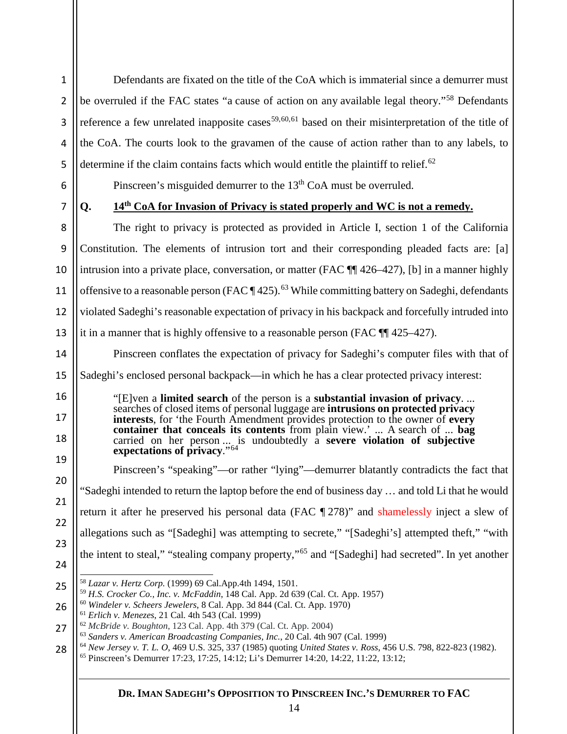1 2 3 4 Defendants are fixated on the title of the CoA which is immaterial since a demurrer must be overruled if the FAC states "a cause of action on any available legal theory."<sup>[58](#page-14-0)</sup> Defendants reference a few unrelated inapposite cases<sup>[59](#page-14-1),[60,](#page-14-2)[61](#page-14-3)</sup> based on their misinterpretation of the title of the CoA. The courts look to the gravamen of the cause of action rather than to any labels, to determine if the claim contains facts which would entitle the plaintiff to relief.<sup>[62](#page-14-4)</sup>

6 7

16

17

18

19

20

21

22

23

24

5

**Q. 14th CoA for Invasion of Privacy is stated properly and WC is not a remedy.**

Pinscreen's misguided demurrer to the 13<sup>th</sup> CoA must be overruled.

8 9 10 11 12 13 The right to privacy is protected as provided in Article I, section 1 of the California Constitution. The elements of intrusion tort and their corresponding pleaded facts are: [a] intrusion into a private place, conversation, or matter (FAC ¶¶ 426–427), [b] in a manner highly offensive to a reasonable person (FAC  $\P$  425).<sup>[63](#page-14-5)</sup> While committing battery on Sadeghi, defendants violated Sadeghi's reasonable expectation of privacy in his backpack and forcefully intruded into it in a manner that is highly offensive to a reasonable person (FAC ¶¶ 425–427).

14 15 Pinscreen conflates the expectation of privacy for Sadeghi's computer files with that of Sadeghi's enclosed personal backpack—in which he has a clear protected privacy interest:

> "[E]ven a **limited search** of the person is a **substantial invasion of privacy**. ... searches of closed items of personal luggage are **intrusions on protected privacy interests**, for 'the Fourth Amendment provides protection to the owner of **every container that conceals its contents** from plain view.' ... A search of ... **bag** carried on her person ... is undoubtedly a **severe violation of subjective expectations of privacy**."[64](#page-14-6)

Pinscreen's "speaking"—or rather "lying"—demurrer blatantly contradicts the fact that "Sadeghi intended to return the laptop before the end of business day … and told Li that he would return it after he preserved his personal data (FAC ¶ 278)" and shamelessly inject a slew of allegations such as "[Sadeghi] was attempting to secrete," "[Sadeghi's] attempted theft," "with the intent to steal," "stealing company property,"[65](#page-14-7) and "[Sadeghi] had secreted". In yet another

<sup>59</sup> *H.S. Crocker Co., Inc. v. McFaddin*, 148 Cal. App. 2d 639 (Cal. Ct. App. 1957)

<span id="page-14-2"></span>26 <sup>60</sup> *Windeler v. Scheers Jewelers*, 8 Cal. App. 3d 844 (Cal. Ct. App. 1970)

<span id="page-14-1"></span><span id="page-14-0"></span><sup>25</sup> 58 *Lazar v. Hertz Corp.* (1999) 69 Cal.App.4th 1494, 1501.

<sup>61</sup> *Erlich v. Menezes*, 21 Cal. 4th 543 (Cal. 1999)

<span id="page-14-5"></span><span id="page-14-4"></span><span id="page-14-3"></span><sup>27</sup> <sup>62</sup> *McBride v. Boughton*, 123 Cal. App. 4th 379 (Cal. Ct. App. 2004)

<sup>63</sup> *Sanders v. American Broadcasting Companies, Inc.*, 20 Cal. 4th 907 (Cal. 1999)

<span id="page-14-7"></span><span id="page-14-6"></span><sup>28</sup> <sup>64</sup> *New Jersey v. T. L. O*, 469 U.S. 325, 337 (1985) quoting *United States v. Ross*, 456 U.S. 798, 822-823 (1982).

<sup>65</sup> Pinscreen's Demurrer 17:23, 17:25, 14:12; Li's Demurrer 14:20, 14:22, 11:22, 13:12;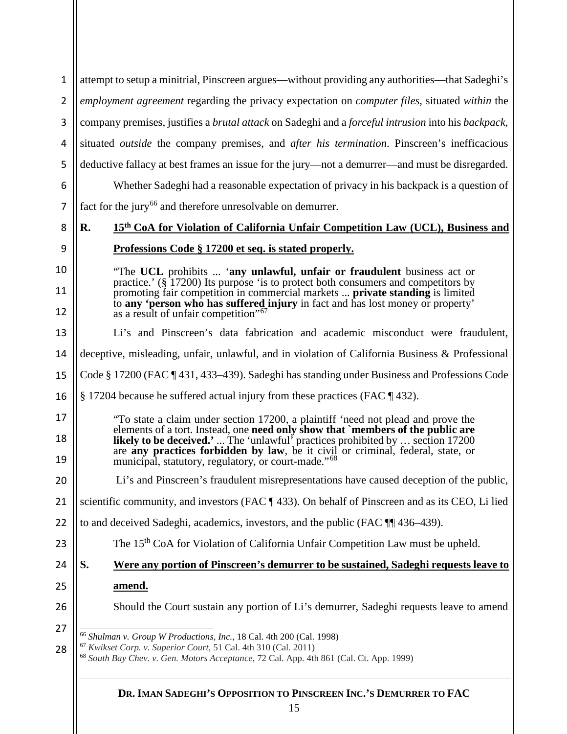<span id="page-15-2"></span><span id="page-15-1"></span><span id="page-15-0"></span>

| 1  | attempt to setup a minitrial, Pinscreen argues—without providing any authorities—that Sadeghi's                                                                                  |  |  |  |  |  |  |  |  |
|----|----------------------------------------------------------------------------------------------------------------------------------------------------------------------------------|--|--|--|--|--|--|--|--|
| 2  | employment agreement regarding the privacy expectation on computer files, situated within the                                                                                    |  |  |  |  |  |  |  |  |
| 3  | company premises, justifies a <i>brutal attack</i> on Sadeghi and a <i>forceful intrusion</i> into his <i>backpack</i> ,                                                         |  |  |  |  |  |  |  |  |
| 4  | situated <i>outside</i> the company premises, and <i>after his termination</i> . Pinscreen's inefficacious                                                                       |  |  |  |  |  |  |  |  |
| 5  | deductive fallacy at best frames an issue for the jury—not a demurrer—and must be disregarded.                                                                                   |  |  |  |  |  |  |  |  |
| 6  | Whether Sadeghi had a reasonable expectation of privacy in his backpack is a question of                                                                                         |  |  |  |  |  |  |  |  |
| 7  | fact for the jury <sup>66</sup> and therefore unresolvable on demurrer.                                                                                                          |  |  |  |  |  |  |  |  |
| 8  | 15th CoA for Violation of California Unfair Competition Law (UCL), Business and<br>R.                                                                                            |  |  |  |  |  |  |  |  |
| 9  | <u>Professions Code § 17200 et seq. is stated properly.</u>                                                                                                                      |  |  |  |  |  |  |  |  |
| 10 | "The UCL prohibits  'any unlawful, unfair or fraudulent business act or                                                                                                          |  |  |  |  |  |  |  |  |
| 11 | practice.' (§ 17200) Its purpose 'is to protect both consumers and competitors by<br>promoting fair competition in commercial markets  private standing is limited               |  |  |  |  |  |  |  |  |
| 12 | to any 'person who has suffered injury in fact and has lost money or property'<br>as a result of unfair competition" <sup>67</sup>                                               |  |  |  |  |  |  |  |  |
| 13 | Li's and Pinscreen's data fabrication and academic misconduct were fraudulent,                                                                                                   |  |  |  |  |  |  |  |  |
| 14 | deceptive, misleading, unfair, unlawful, and in violation of California Business & Professional                                                                                  |  |  |  |  |  |  |  |  |
| 15 | Code § 17200 (FAC ¶ 431, 433–439). Sadeghi has standing under Business and Professions Code                                                                                      |  |  |  |  |  |  |  |  |
| 16 | § 17204 because he suffered actual injury from these practices (FAC ¶ 432).                                                                                                      |  |  |  |  |  |  |  |  |
| 17 | "To state a claim under section 17200, a plaintiff 'need not plead and prove the                                                                                                 |  |  |  |  |  |  |  |  |
| 18 | elements of a tort. Instead, one need only show that `members of the public are<br><b>likely to be deceived.'</b> The 'unlawful' practices prohibited by  section 17200          |  |  |  |  |  |  |  |  |
| 19 | are any practices forbidden by law, be it civil or criminal, federal, state, or<br>municipal, statutory, regulatory, or court-made." <sup>68</sup>                               |  |  |  |  |  |  |  |  |
| 20 | Li's and Pinscreen's fraudulent misrepresentations have caused deception of the public,                                                                                          |  |  |  |  |  |  |  |  |
| 21 | scientific community, and investors (FAC ¶ 433). On behalf of Pinscreen and as its CEO, Li lied                                                                                  |  |  |  |  |  |  |  |  |
| 22 | to and deceived Sadeghi, academics, investors, and the public (FAC ¶ 436–439).                                                                                                   |  |  |  |  |  |  |  |  |
| 23 | The 15 <sup>th</sup> CoA for Violation of California Unfair Competition Law must be upheld.                                                                                      |  |  |  |  |  |  |  |  |
| 24 | Were any portion of Pinscreen's demurrer to be sustained, Sadeghi requests leave to<br>S.                                                                                        |  |  |  |  |  |  |  |  |
| 25 | amend.                                                                                                                                                                           |  |  |  |  |  |  |  |  |
| 26 | Should the Court sustain any portion of Li's demurrer, Sadeghi requests leave to amend                                                                                           |  |  |  |  |  |  |  |  |
| 27 | <sup>66</sup> Shulman v. Group W Productions, Inc., 18 Cal. 4th 200 (Cal. 1998)                                                                                                  |  |  |  |  |  |  |  |  |
| 28 | <sup>67</sup> Kwikset Corp. v. Superior Court, 51 Cal. 4th 310 (Cal. 2011)<br><sup>68</sup> South Bay Chev. v. Gen. Motors Acceptance, 72 Cal. App. 4th 861 (Cal. Ct. App. 1999) |  |  |  |  |  |  |  |  |
|    |                                                                                                                                                                                  |  |  |  |  |  |  |  |  |